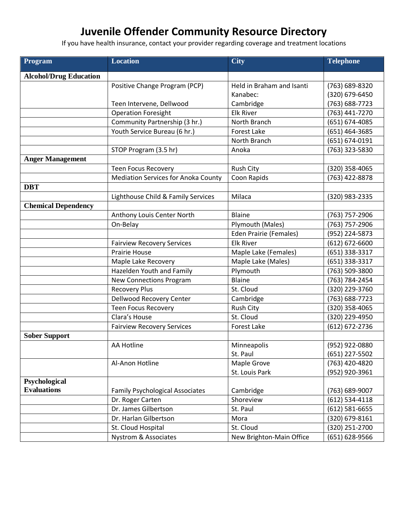## **Juvenile Offender Community Resource Directory**

If you have health insurance, contact your provider regarding coverage and treatment locations

| Program                       | <b>Location</b>                            | <b>City</b>                   | <b>Telephone</b>   |
|-------------------------------|--------------------------------------------|-------------------------------|--------------------|
| <b>Alcohol/Drug Education</b> |                                            |                               |                    |
|                               | Positive Change Program (PCP)              | Held in Braham and Isanti     | (763) 689-8320     |
|                               |                                            | Kanabec:                      | (320) 679-6450     |
|                               | Teen Intervene, Dellwood                   | Cambridge                     | (763) 688-7723     |
|                               | <b>Operation Foresight</b>                 | <b>Elk River</b>              | (763) 441-7270     |
|                               | Community Partnership (3 hr.)              | North Branch                  | (651) 674-4085     |
|                               | Youth Service Bureau (6 hr.)               | <b>Forest Lake</b>            | (651) 464-3685     |
|                               |                                            | North Branch                  | (651) 674-0191     |
|                               | STOP Program (3.5 hr)                      | Anoka                         | (763) 323-5830     |
| <b>Anger Management</b>       |                                            |                               |                    |
|                               | <b>Teen Focus Recovery</b>                 | <b>Rush City</b>              | (320) 358-4065     |
|                               | <b>Mediation Services for Anoka County</b> | Coon Rapids                   | (763) 422-8878     |
| <b>DBT</b>                    |                                            |                               |                    |
|                               | Lighthouse Child & Family Services         | Milaca                        | (320) 983-2335     |
| <b>Chemical Dependency</b>    |                                            |                               |                    |
|                               | Anthony Louis Center North                 | Blaine                        | (763) 757-2906     |
|                               | On-Belay                                   | Plymouth (Males)              | (763) 757-2906     |
|                               |                                            | <b>Eden Prairie (Females)</b> | (952) 224-5873     |
|                               | <b>Fairview Recovery Services</b>          | <b>Elk River</b>              | $(612) 672 - 6600$ |
|                               | Prairie House                              | Maple Lake (Females)          | (651) 338-3317     |
|                               | Maple Lake Recovery                        | Maple Lake (Males)            | (651) 338-3317     |
|                               | Hazelden Youth and Family                  | Plymouth                      | (763) 509-3800     |
|                               | <b>New Connections Program</b>             | Blaine                        | (763) 784-2454     |
|                               | <b>Recovery Plus</b>                       | St. Cloud                     | (320) 229-3760     |
|                               | Dellwood Recovery Center                   | Cambridge                     | (763) 688-7723     |
|                               | <b>Teen Focus Recovery</b>                 | <b>Rush City</b>              | (320) 358-4065     |
|                               | Clara's House                              | St. Cloud                     | (320) 229-4950     |
|                               | <b>Fairview Recovery Services</b>          | <b>Forest Lake</b>            | (612) 672-2736     |
| <b>Sober Support</b>          |                                            |                               |                    |
|                               | <b>AA Hotline</b>                          | Minneapolis                   | (952) 922-0880     |
|                               |                                            | St. Paul                      | (651) 227-5502     |
|                               | Al-Anon Hotline                            | Maple Grove                   | (763) 420-4820     |
|                               |                                            | St. Louis Park                | (952) 920-3961     |
| Psychological                 |                                            |                               |                    |
| <b>Evaluations</b>            | <b>Family Psychological Associates</b>     | Cambridge                     | (763) 689-9007     |
|                               | Dr. Roger Carten                           | Shoreview                     | $(612) 534 - 4118$ |
|                               | Dr. James Gilbertson                       | St. Paul                      | $(612) 581 - 6655$ |
|                               | Dr. Harlan Gilbertson                      | Mora                          | (320) 679-8161     |
|                               | St. Cloud Hospital                         | St. Cloud                     | (320) 251-2700     |
|                               | <b>Nystrom &amp; Associates</b>            | New Brighton-Main Office      | (651) 628-9566     |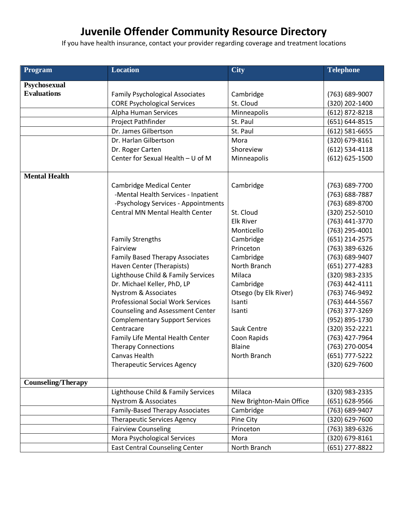## **Juvenile Offender Community Resource Directory**

If you have health insurance, contact your provider regarding coverage and treatment locations

| Program                   | <b>Location</b>                          | <b>City</b>              | <b>Telephone</b>   |
|---------------------------|------------------------------------------|--------------------------|--------------------|
| Psychosexual              |                                          |                          |                    |
| <b>Evaluations</b>        | <b>Family Psychological Associates</b>   | Cambridge                | (763) 689-9007     |
|                           | <b>CORE Psychological Services</b>       | St. Cloud                | (320) 202-1400     |
|                           | Alpha Human Services                     | Minneapolis              | (612) 872-8218     |
|                           | Project Pathfinder                       | St. Paul                 | (651) 644-8515     |
|                           | Dr. James Gilbertson                     | St. Paul                 | $(612) 581 - 6655$ |
|                           | Dr. Harlan Gilbertson                    | Mora                     | (320) 679-8161     |
|                           | Dr. Roger Carten                         | Shoreview                | $(612)$ 534-4118   |
|                           | Center for Sexual Health - U of M        | Minneapolis              | $(612) 625 - 1500$ |
| <b>Mental Health</b>      |                                          |                          |                    |
|                           | <b>Cambridge Medical Center</b>          | Cambridge                | (763) 689-7700     |
|                           | -Mental Health Services - Inpatient      |                          | (763) 688-7887     |
|                           | -Psychology Services - Appointments      |                          | (763) 689-8700     |
|                           | <b>Central MN Mental Health Center</b>   | St. Cloud                | (320) 252-5010     |
|                           |                                          | <b>Elk River</b>         | (763) 441-3770     |
|                           |                                          | Monticello               | (763) 295-4001     |
|                           | <b>Family Strengths</b>                  | Cambridge                | (651) 214-2575     |
|                           | Fairview                                 | Princeton                | (763) 389-6326     |
|                           | <b>Family Based Therapy Associates</b>   | Cambridge                | (763) 689-9407     |
|                           | Haven Center (Therapists)                | North Branch             | $(651)$ 277-4283   |
|                           | Lighthouse Child & Family Services       | Milaca                   | (320) 983-2335     |
|                           | Dr. Michael Keller, PhD, LP              | Cambridge                | (763) 442-4111     |
|                           | Nystrom & Associates                     | Otsego (by Elk River)    | (763) 746-9492     |
|                           | <b>Professional Social Work Services</b> | Isanti                   | (763) 444-5567     |
|                           | <b>Counseling and Assessment Center</b>  | Isanti                   | (763) 377-3269     |
|                           | <b>Complementary Support Services</b>    |                          | (952) 895-1730     |
|                           | Centracare                               | Sauk Centre              | (320) 352-2221     |
|                           | Family Life Mental Health Center         | Coon Rapids              | (763) 427-7964     |
|                           | <b>Therapy Connections</b>               | <b>Blaine</b>            | (763) 270-0054     |
|                           | Canvas Health                            | North Branch             | (651) 777-5222     |
|                           | Therapeutic Services Agency              |                          | $(320)$ 629-7600   |
| <b>Counseling/Therapy</b> |                                          |                          |                    |
|                           | Lighthouse Child & Family Services       | Milaca                   | (320) 983-2335     |
|                           | <b>Nystrom &amp; Associates</b>          | New Brighton-Main Office | $(651) 628 - 9566$ |
|                           | <b>Family-Based Therapy Associates</b>   | Cambridge                | (763) 689-9407     |
|                           | <b>Therapeutic Services Agency</b>       | Pine City                | (320) 629-7600     |
|                           | <b>Fairview Counseling</b>               | Princeton                | (763) 389-6326     |
|                           | Mora Psychological Services              | Mora                     | (320) 679-8161     |
|                           | <b>East Central Counseling Center</b>    | North Branch             | (651) 277-8822     |